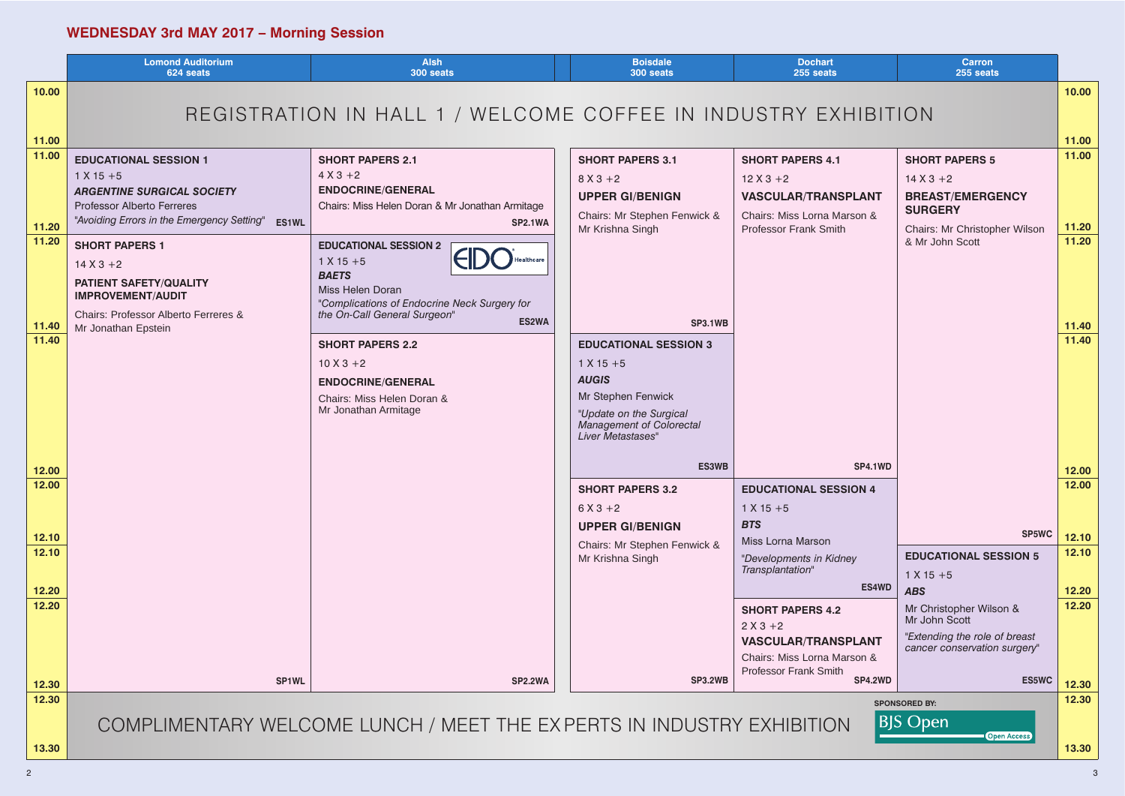# **WEDNESDAY 3rd MAY 2017 – Morning Session**

|                | <b>Lomond Auditorium</b><br>624 seats                                  | <b>Alsh</b><br>300 seats                                               | <b>Boisdale</b><br>300 seats                               | <b>Dochart</b><br>255 seats               |                     |
|----------------|------------------------------------------------------------------------|------------------------------------------------------------------------|------------------------------------------------------------|-------------------------------------------|---------------------|
| 10.00          |                                                                        |                                                                        |                                                            |                                           |                     |
|                |                                                                        | REGISTRATION IN HALL 1 / WELCOME COFFEE IN INDUSTRY EXHIBITION         |                                                            |                                           |                     |
| 11.00          |                                                                        |                                                                        |                                                            |                                           |                     |
| 11.00          | <b>EDUCATIONAL SESSION 1</b>                                           | <b>SHORT PAPERS 2.1</b>                                                | <b>SHORT PAPERS 3.1</b>                                    | <b>SHORT PAPERS 4.1</b>                   | <b>SHOF</b>         |
|                | $1 X 15 + 5$                                                           | $4 X 3 + 2$                                                            | $8 X 3 + 2$                                                | $12X3+2$                                  | 14X <sub>3</sub>    |
|                | <b>ARGENTINE SURGICAL SOCIETY</b>                                      | <b>ENDOCRINE/GENERAL</b>                                               | <b>UPPER GI/BENIGN</b>                                     | <b>VASCULAR/TRANSPLANT</b>                | <b>BREA</b>         |
|                | <b>Professor Alberto Ferreres</b>                                      | Chairs: Miss Helen Doran & Mr Jonathan Armitage                        | Chairs: Mr Stephen Fenwick &                               | Chairs: Miss Lorna Marson &               | <b>SUR</b>          |
| 11.20          | "Avoiding Errors in the Emergency Setting"<br><b>ES1WL</b>             | <b>SP2.1WA</b>                                                         | Mr Krishna Singh                                           | <b>Professor Frank Smith</b>              | Chairs              |
| 11.20          | <b>SHORT PAPERS 1</b>                                                  | <b>EDUCATIONAL SESSION 2</b>                                           |                                                            |                                           | & Mr.               |
|                | $14X3+2$                                                               | $1 X 15 + 5$<br><b>BAETS</b>                                           |                                                            |                                           |                     |
|                | <b>PATIENT SAFETY/QUALITY</b>                                          | Miss Helen Doran                                                       |                                                            |                                           |                     |
|                | <b>IMPROVEMENT/AUDIT</b>                                               | "Complications of Endocrine Neck Surgery for                           |                                                            |                                           |                     |
| 11.40          | <b>Chairs: Professor Alberto Ferreres &amp;</b><br>Mr Jonathan Epstein | the On-Call General Surgeon"<br>ES2WA                                  | <b>SP3.1WB</b>                                             |                                           |                     |
| 11.40          |                                                                        | <b>SHORT PAPERS 2.2</b>                                                | <b>EDUCATIONAL SESSION 3</b>                               |                                           |                     |
|                |                                                                        | $10 X 3 + 2$                                                           | $1 X 15 + 5$                                               |                                           |                     |
|                |                                                                        | <b>ENDOCRINE/GENERAL</b>                                               | <b>AUGIS</b>                                               |                                           |                     |
|                |                                                                        | Chairs: Miss Helen Doran &<br>Mr Jonathan Armitage                     | Mr Stephen Fenwick                                         |                                           |                     |
|                |                                                                        |                                                                        | "Update on the Surgical<br><b>Management of Colorectal</b> |                                           |                     |
|                |                                                                        |                                                                        | Liver Metastases"                                          |                                           |                     |
|                |                                                                        |                                                                        | <b>ES3WB</b>                                               | <b>SP4.1WD</b>                            |                     |
| 12.00<br>12.00 |                                                                        |                                                                        |                                                            |                                           |                     |
|                |                                                                        |                                                                        | <b>SHORT PAPERS 3.2</b>                                    | <b>EDUCATIONAL SESSION 4</b>              |                     |
|                |                                                                        |                                                                        | $6X3 + 2$<br><b>UPPER GI/BENIGN</b>                        | $1 X 15 + 5$<br><b>BTS</b>                |                     |
| 12.10          |                                                                        |                                                                        | Chairs: Mr Stephen Fenwick &                               | Miss Lorna Marson                         |                     |
| 12.10          |                                                                        |                                                                        | Mr Krishna Singh                                           | "Developments in Kidney                   | <b>EDUC</b>         |
|                |                                                                        |                                                                        |                                                            | Transplantation"                          | $1 \times 15$       |
| 12.20          |                                                                        |                                                                        |                                                            | <b>ES4WD</b>                              | <b>ABS</b>          |
| 12.20          |                                                                        |                                                                        |                                                            | <b>SHORT PAPERS 4.2</b>                   | Mr Ch<br>Mr Jo      |
|                |                                                                        |                                                                        |                                                            | $2 X 3 + 2$<br><b>VASCULAR/TRANSPLANT</b> | "Exten              |
|                |                                                                        |                                                                        |                                                            | Chairs: Miss Lorna Marson &               | cance               |
|                |                                                                        |                                                                        |                                                            | <b>Professor Frank Smith</b>              |                     |
| 12.30<br>12.30 | SP1WL                                                                  | <b>SP2.2WA</b>                                                         | <b>SP3.2WB</b>                                             | <b>SP4.2WD</b>                            |                     |
|                |                                                                        |                                                                        |                                                            |                                           | <b>SPONSORED BY</b> |
|                |                                                                        | COMPLIMENTARY WELCOME LUNCH / MEET THE EX PERTS IN INDUSTRY EXHIBITION |                                                            |                                           | <b>BJS</b> Op       |

**13.30**

|                   | <b>Dochart</b><br>255 seats                                                                          | <b>Carron</b><br>255 seats                                                         |                |
|-------------------|------------------------------------------------------------------------------------------------------|------------------------------------------------------------------------------------|----------------|
|                   | I INDUSTRY EXHIBITION                                                                                |                                                                                    | 10.00          |
|                   |                                                                                                      |                                                                                    | 11.00          |
| wick &            | <b>SHORT PAPERS 4.1</b><br>$12 X 3 + 2$<br><b>VASCULAR/TRANSPLANT</b><br>Chairs: Miss Lorna Marson & | <b>SHORT PAPERS 5</b><br>$14 X 3 + 2$<br><b>BREAST/EMERGENCY</b><br><b>SURGERY</b> | 11.00          |
|                   | <b>Professor Frank Smith</b>                                                                         | Chairs: Mr Christopher Wilson<br>& Mr John Scott                                   | 11.20<br>11.20 |
| <b>SP3.1WB</b>    |                                                                                                      |                                                                                    | 11.40          |
| <b>DN3</b><br>tal |                                                                                                      |                                                                                    | 11.40          |
| <b>ES3WB</b>      | SP4.1WD                                                                                              |                                                                                    | 12.00          |
|                   | <b>EDUCATIONAL SESSION 4</b><br>$1 X 15 + 5$<br><b>BTS</b>                                           | <b>SP5WC</b>                                                                       | 12.00<br>12.10 |
| wick &            | <b>Miss Lorna Marson</b><br>"Developments in Kidney<br>Transplantation"                              | <b>EDUCATIONAL SESSION 5</b><br>$1 X 15 + 5$                                       | 12.10          |
|                   | <b>ES4WD</b>                                                                                         | <b>ABS</b>                                                                         | 12.20          |
|                   | <b>SHORT PAPERS 4.2</b><br>$2 X 3 + 2$<br><b>VASCULAR/TRANSPLANT</b>                                 | Mr Christopher Wilson &<br>Mr John Scott<br>"Extending the role of breast          | 12.20          |
| <b>SP3.2WB</b>    | Chairs: Miss Lorna Marson &<br><b>Professor Frank Smith</b><br><b>SP4.2WD</b>                        | cancer conservation surgery"<br><b>ES5WC</b>                                       | 12.30          |
|                   |                                                                                                      |                                                                                    | 12.30          |
|                   | JSTRY EXHIBITION                                                                                     | <b>SPONSORED BY:</b><br><b>BJS Open</b><br><b>Open Access</b>                      | 13.30          |
|                   |                                                                                                      |                                                                                    |                |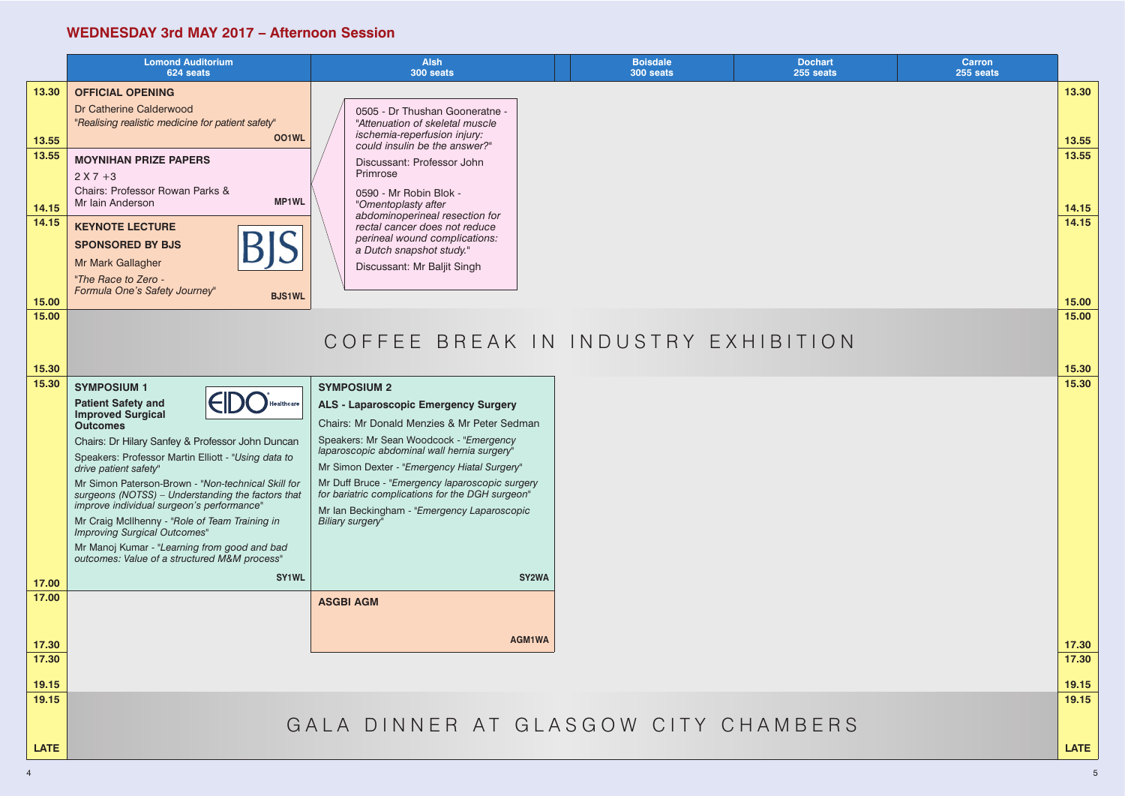### **WEDNESDAY 3rd MAY 2017 – Afternoon Session**

|                         | <b>Lomond Auditorium</b><br>624 seats                                                                                                                                                                                                                                                                                                                                                                                                                                                                                                                                               | <b>Alsh</b><br>300 seats                                                                                                                                                                                                                                                                                                                                                                                                             | <b>Boisdale</b><br>300 seats | <b>Dochart</b><br>255 seats | <b>Carron</b><br>255 seats |                |
|-------------------------|-------------------------------------------------------------------------------------------------------------------------------------------------------------------------------------------------------------------------------------------------------------------------------------------------------------------------------------------------------------------------------------------------------------------------------------------------------------------------------------------------------------------------------------------------------------------------------------|--------------------------------------------------------------------------------------------------------------------------------------------------------------------------------------------------------------------------------------------------------------------------------------------------------------------------------------------------------------------------------------------------------------------------------------|------------------------------|-----------------------------|----------------------------|----------------|
| 13.30<br>13.55          | <b>OFFICIAL OPENING</b><br>Dr Catherine Calderwood<br>"Realising realistic medicine for patient safety"<br><b>OO1WL</b>                                                                                                                                                                                                                                                                                                                                                                                                                                                             | 0505 - Dr Thushan Gooneratne -<br>"Attenuation of skeletal muscle<br>ischemia-reperfusion injury:                                                                                                                                                                                                                                                                                                                                    |                              |                             |                            | 13.30<br>13.55 |
| 13.55<br>14.15          | <b>MOYNIHAN PRIZE PAPERS</b><br>$2 X 7 + 3$<br>Chairs: Professor Rowan Parks &<br><b>MP1WL</b><br>Mr Iain Anderson                                                                                                                                                                                                                                                                                                                                                                                                                                                                  | could insulin be the answer?"<br>Discussant: Professor John<br>Primrose<br>0590 - Mr Robin Blok -<br>"Omentoplasty after                                                                                                                                                                                                                                                                                                             |                              |                             |                            | 13.55<br>14.15 |
| 14.15                   | <b>KEYNOTE LECTURE</b><br><b>BIS</b><br><b>SPONSORED BY BJS</b><br>Mr Mark Gallagher<br>"The Race to Zero -<br>Formula One's Safety Journey"<br><b>BJS1WL</b>                                                                                                                                                                                                                                                                                                                                                                                                                       | abdominoperineal resection for<br>rectal cancer does not reduce<br>perineal wound complications:<br>a Dutch snapshot study."<br>Discussant: Mr Baljit Singh                                                                                                                                                                                                                                                                          |                              |                             |                            | 14.15          |
| 15.00<br>15.00          |                                                                                                                                                                                                                                                                                                                                                                                                                                                                                                                                                                                     |                                                                                                                                                                                                                                                                                                                                                                                                                                      |                              |                             |                            | 15.00<br>15.00 |
|                         |                                                                                                                                                                                                                                                                                                                                                                                                                                                                                                                                                                                     | COFFEE BREAK IN INDUSTRY EXHIBITION                                                                                                                                                                                                                                                                                                                                                                                                  |                              |                             |                            |                |
| 15.30                   |                                                                                                                                                                                                                                                                                                                                                                                                                                                                                                                                                                                     |                                                                                                                                                                                                                                                                                                                                                                                                                                      |                              |                             |                            | 15.30          |
| 15.30                   | <b>SYMPOSIUM 1</b><br><b>Patient Safety and</b><br><b>Improved Surgical</b><br><b>Outcomes</b><br>Chairs: Dr Hilary Sanfey & Professor John Duncan<br>Speakers: Professor Martin Elliott - "Using data to<br>drive patient safety"<br>Mr Simon Paterson-Brown - "Non-technical Skill for<br>surgeons (NOTSS) - Understanding the factors that<br>improve individual surgeon's performance"<br>Mr Craig McIlhenny - "Role of Team Training in<br><b>Improving Surgical Outcomes"</b><br>Mr Manoj Kumar - "Learning from good and bad<br>outcomes: Value of a structured M&M process" | <b>SYMPOSIUM 2</b><br><b>ALS - Laparoscopic Emergency Surgery</b><br>Chairs: Mr Donald Menzies & Mr Peter Sedman<br>Speakers: Mr Sean Woodcock - "Emergency<br>laparoscopic abdominal wall hernia surgery"<br>Mr Simon Dexter - "Emergency Hiatal Surgery"<br>Mr Duff Bruce - "Emergency laparoscopic surgery<br>for bariatric complications for the DGH surgeon"<br>Mr Ian Beckingham - "Emergency Laparoscopic<br>Biliary surgery" |                              |                             |                            | 15.30          |
| 17.00                   | <b>SY1WL</b>                                                                                                                                                                                                                                                                                                                                                                                                                                                                                                                                                                        | SY2WA                                                                                                                                                                                                                                                                                                                                                                                                                                |                              |                             |                            |                |
| 17.00<br>17.30<br>17.30 |                                                                                                                                                                                                                                                                                                                                                                                                                                                                                                                                                                                     | <b>ASGBI AGM</b><br>AGM1WA                                                                                                                                                                                                                                                                                                                                                                                                           |                              |                             |                            | 17.30<br>17.30 |
| 19.15                   |                                                                                                                                                                                                                                                                                                                                                                                                                                                                                                                                                                                     |                                                                                                                                                                                                                                                                                                                                                                                                                                      |                              |                             |                            | 19.15          |
| 19.15                   |                                                                                                                                                                                                                                                                                                                                                                                                                                                                                                                                                                                     |                                                                                                                                                                                                                                                                                                                                                                                                                                      |                              |                             |                            | 19.15          |
|                         |                                                                                                                                                                                                                                                                                                                                                                                                                                                                                                                                                                                     | GALA DINNER AT GLASGOW CITY CHAMBERS                                                                                                                                                                                                                                                                                                                                                                                                 |                              |                             |                            |                |
| <b>LATE</b>             |                                                                                                                                                                                                                                                                                                                                                                                                                                                                                                                                                                                     |                                                                                                                                                                                                                                                                                                                                                                                                                                      |                              |                             |                            | <b>LATE</b>    |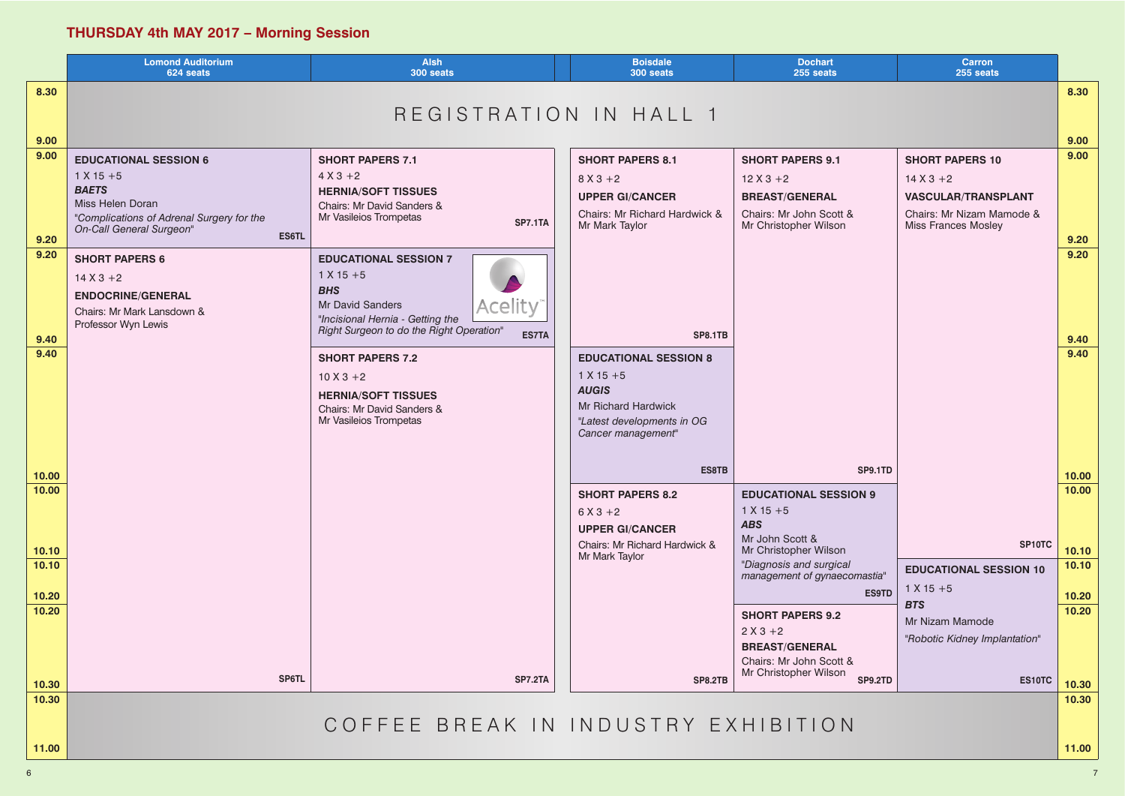# **THURSDAY 4th MAY 2017 – Morning Session**

|                | <b>Lomond Auditorium</b><br>624 seats                                                                                                                     | <b>Alsh</b><br>300 seats                                                                                                                                                                | <b>Boisdale</b><br>300 seats                                                                                                                   | <b>Dochart</b><br>255 seats                                                                                      | <b>Carron</b><br>255 seats                                                                                                      |                |
|----------------|-----------------------------------------------------------------------------------------------------------------------------------------------------------|-----------------------------------------------------------------------------------------------------------------------------------------------------------------------------------------|------------------------------------------------------------------------------------------------------------------------------------------------|------------------------------------------------------------------------------------------------------------------|---------------------------------------------------------------------------------------------------------------------------------|----------------|
| 8.30           |                                                                                                                                                           | REGISTRATION IN HALL 1                                                                                                                                                                  |                                                                                                                                                |                                                                                                                  |                                                                                                                                 | 8.30           |
| 9.00           |                                                                                                                                                           |                                                                                                                                                                                         |                                                                                                                                                |                                                                                                                  |                                                                                                                                 | 9.00           |
| 9.00           | <b>EDUCATIONAL SESSION 6</b><br>$1 X 15 + 5$<br><b>BAETS</b><br>Miss Helen Doran<br>"Complications of Adrenal Surgery for the<br>On-Call General Surgeon" | <b>SHORT PAPERS 7.1</b><br>$4 X 3 + 2$<br><b>HERNIA/SOFT TISSUES</b><br>Chairs: Mr David Sanders &<br>Mr Vasileios Trompetas<br><b>SP7.1TA</b>                                          | <b>SHORT PAPERS 8.1</b><br>$8 X 3 + 2$<br><b>UPPER GI/CANCER</b><br>Chairs: Mr Richard Hardwick &<br>Mr Mark Taylor                            | <b>SHORT PAPERS 9.1</b><br>$12X3+2$<br><b>BREAST/GENERAL</b><br>Chairs: Mr John Scott &<br>Mr Christopher Wilson | <b>SHORT PAPERS 10</b><br>$14 X 3 + 2$<br><b>VASCULAR/TRANSPLANT</b><br>Chairs: Mr Nizam Mamode &<br><b>Miss Frances Mosley</b> | 9.00           |
| 9.20           | ES6TL                                                                                                                                                     |                                                                                                                                                                                         |                                                                                                                                                |                                                                                                                  |                                                                                                                                 | 9.20           |
| 9.20           | <b>SHORT PAPERS 6</b><br>$14 X 3 + 2$<br><b>ENDOCRINE/GENERAL</b><br>Chairs: Mr Mark Lansdown &<br>Professor Wyn Lewis                                    | <b>EDUCATIONAL SESSION 7</b><br>$1 X 15 + 5$<br><b>BHS</b><br><b>Acelity</b><br><b>Mr David Sanders</b><br>"Incisional Hernia - Getting the<br>Right Surgeon to do the Right Operation" |                                                                                                                                                |                                                                                                                  |                                                                                                                                 | 9.20           |
| 9.40           |                                                                                                                                                           | <b>ES7TA</b>                                                                                                                                                                            | <b>SP8.1TB</b>                                                                                                                                 |                                                                                                                  |                                                                                                                                 | 9.40           |
| 9.40           |                                                                                                                                                           | <b>SHORT PAPERS 7.2</b><br>$10 X 3 + 2$<br><b>HERNIA/SOFT TISSUES</b><br>Chairs: Mr David Sanders &<br>Mr Vasileios Trompetas                                                           | <b>EDUCATIONAL SESSION 8</b><br>$1 X 15 + 5$<br><b>AUGIS</b><br><b>Mr Richard Hardwick</b><br>"Latest developments in OG<br>Cancer management" |                                                                                                                  |                                                                                                                                 | 9.40           |
| 10.00          |                                                                                                                                                           |                                                                                                                                                                                         | <b>ES8TB</b>                                                                                                                                   | SP9.1TD                                                                                                          |                                                                                                                                 | 10.00          |
| 10.00<br>10.10 |                                                                                                                                                           |                                                                                                                                                                                         | <b>SHORT PAPERS 8.2</b><br>$6X3 + 2$<br><b>UPPER GI/CANCER</b><br>Chairs: Mr Richard Hardwick &<br>Mr Mark Taylor                              | <b>EDUCATIONAL SESSION 9</b><br>$1 X 15 + 5$<br><b>ABS</b><br>Mr John Scott &<br>Mr Christopher Wilson           | SP10TC                                                                                                                          | 10.00<br>10.10 |
| 10.10          |                                                                                                                                                           |                                                                                                                                                                                         |                                                                                                                                                | "Diagnosis and surgical<br>management of gynaecomastia"                                                          | <b>EDUCATIONAL SESSION 10</b>                                                                                                   | 10.10          |
| 10.20          |                                                                                                                                                           |                                                                                                                                                                                         |                                                                                                                                                | <b>ES9TD</b>                                                                                                     | $1 X 15 + 5$                                                                                                                    | 10.20          |
| 10.20          |                                                                                                                                                           |                                                                                                                                                                                         |                                                                                                                                                | <b>SHORT PAPERS 9.2</b><br>$2 X 3 + 2$<br><b>BREAST/GENERAL</b><br>Chairs: Mr John Scott &                       | <b>BTS</b><br>Mr Nizam Mamode<br>"Robotic Kidney Implantation"                                                                  | 10.20          |
| 10.30          | SP6TL                                                                                                                                                     | <b>SP7.2TA</b>                                                                                                                                                                          | <b>SP8.2TB</b>                                                                                                                                 | Mr Christopher Wilson<br><b>SP9.2TD</b>                                                                          | ES10TC                                                                                                                          | 10.30          |
| 10.30<br>11.00 |                                                                                                                                                           | COFFEE BREAK IN INDUSTRY EXHIBITION                                                                                                                                                     |                                                                                                                                                |                                                                                                                  |                                                                                                                                 | 10.30<br>11.00 |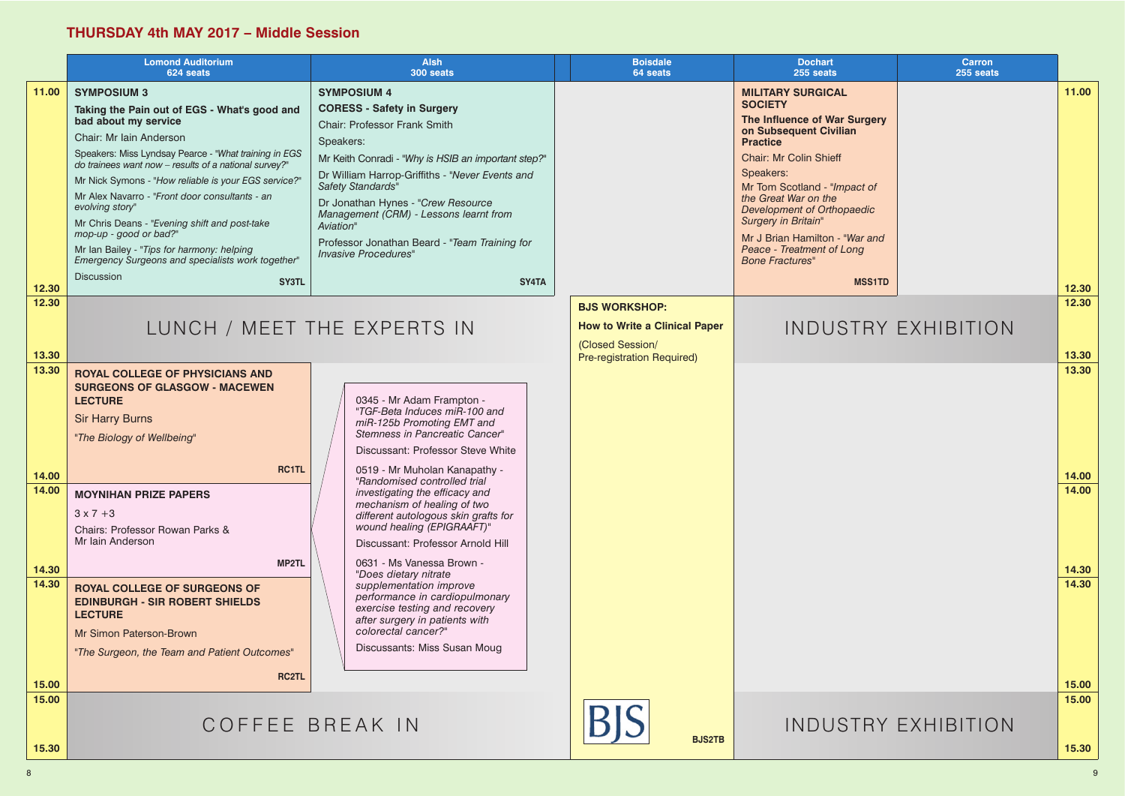#### **THURSDAY 4th MAY 2017 – Middle Session**

|                         | <b>Lomond Auditorium</b><br>624 seats                                                                                                                                                                                                                                                                                                                                                                                                                                                                                                                                                   | <b>Alsh</b><br>300 seats                                                                                                                                                                                                                                                                                                                                                                                                         | <b>Boisdale</b><br>64 seats                                                                                           | <b>Dochart</b><br>255 seats                                                                                                                                                                                                                                                                                                                                                                                | Carron<br>255 seats        |
|-------------------------|-----------------------------------------------------------------------------------------------------------------------------------------------------------------------------------------------------------------------------------------------------------------------------------------------------------------------------------------------------------------------------------------------------------------------------------------------------------------------------------------------------------------------------------------------------------------------------------------|----------------------------------------------------------------------------------------------------------------------------------------------------------------------------------------------------------------------------------------------------------------------------------------------------------------------------------------------------------------------------------------------------------------------------------|-----------------------------------------------------------------------------------------------------------------------|------------------------------------------------------------------------------------------------------------------------------------------------------------------------------------------------------------------------------------------------------------------------------------------------------------------------------------------------------------------------------------------------------------|----------------------------|
| 11.00                   | <b>SYMPOSIUM 3</b><br>Taking the Pain out of EGS - What's good and<br>bad about my service<br>Chair: Mr Iain Anderson<br>Speakers: Miss Lyndsay Pearce - "What training in EGS<br>do trainees want now - results of a national survey?"<br>Mr Nick Symons - "How reliable is your EGS service?"<br>Mr Alex Navarro - "Front door consultants - an<br>evolving story"<br>Mr Chris Deans - "Evening shift and post-take<br>mop-up - good or bad?"<br>Mr Ian Bailey - "Tips for harmony: helping<br>Emergency Surgeons and specialists work together"<br><b>Discussion</b><br><b>SY3TL</b> | <b>SYMPOSIUM 4</b><br><b>CORESS - Safety in Surgery</b><br><b>Chair: Professor Frank Smith</b><br>Speakers:<br>Mr Keith Conradi - "Why is HSIB an important step?"<br>Dr William Harrop-Griffiths - "Never Events and<br>Safety Standards"<br>Dr Jonathan Hynes - "Crew Resource<br>Management (CRM) - Lessons learnt from<br>Aviation"<br>Professor Jonathan Beard - "Team Training for<br><b>Invasive Procedures"</b><br>SY4TA |                                                                                                                       | <b>MILITARY SURGICAL</b><br><b>SOCIETY</b><br>The Influence of War Surgery<br>on Subsequent Civilian<br><b>Practice</b><br><b>Chair: Mr Colin Shieff</b><br>Speakers:<br>Mr Tom Scotland - "Impact of<br>the Great War on the<br><b>Development of Orthopaedic</b><br>Surgery in Britain"<br>Mr J Brian Hamilton - "War and<br><b>Peace - Treatment of Long</b><br><b>Bone Fractures"</b><br><b>MSS1TD</b> |                            |
| 12.30<br>12.30          |                                                                                                                                                                                                                                                                                                                                                                                                                                                                                                                                                                                         |                                                                                                                                                                                                                                                                                                                                                                                                                                  |                                                                                                                       |                                                                                                                                                                                                                                                                                                                                                                                                            |                            |
| 13.30                   | LUNCH / MEET THE EXPERTS IN                                                                                                                                                                                                                                                                                                                                                                                                                                                                                                                                                             |                                                                                                                                                                                                                                                                                                                                                                                                                                  | <b>BJS WORKSHOP:</b><br><b>How to Write a Clinical Paper</b><br>(Closed Session/<br><b>Pre-registration Required)</b> |                                                                                                                                                                                                                                                                                                                                                                                                            | <b>INDUSTRY EXHIBITION</b> |
| 13.30<br>14.00<br>14.00 | <b>ROYAL COLLEGE OF PHYSICIANS AND</b><br><b>SURGEONS OF GLASGOW - MACEWEN</b><br><b>LECTURE</b><br><b>Sir Harry Burns</b><br>"The Biology of Wellbeing"<br><b>RC1TL</b><br><b>MOYNIHAN PRIZE PAPERS</b>                                                                                                                                                                                                                                                                                                                                                                                | 0345 - Mr Adam Frampton -<br>"TGF-Beta Induces miR-100 and<br>miR-125b Promoting EMT and<br>Stemness in Pancreatic Cancer"<br>Discussant: Professor Steve White<br>0519 - Mr Muholan Kanapathy -<br>"Randomised controlled trial<br>investigating the efficacy and<br>mechanism of healing of two                                                                                                                                |                                                                                                                       |                                                                                                                                                                                                                                                                                                                                                                                                            |                            |
|                         | $3 \times 7 + 3$<br>Chairs: Professor Rowan Parks &<br>Mr Iain Anderson<br>MP2TL                                                                                                                                                                                                                                                                                                                                                                                                                                                                                                        | different autologous skin grafts for<br>wound healing (EPIGRAAFT)"<br>Discussant: Professor Arnold Hill<br>0631 - Ms Vanessa Brown -                                                                                                                                                                                                                                                                                             |                                                                                                                       |                                                                                                                                                                                                                                                                                                                                                                                                            |                            |
| 14.30<br>14.30<br>15.00 | <b>ROYAL COLLEGE OF SURGEONS OF</b><br><b>EDINBURGH - SIR ROBERT SHIELDS</b><br><b>LECTURE</b><br>Mr Simon Paterson-Brown<br>"The Surgeon, the Team and Patient Outcomes"<br><b>RC2TL</b>                                                                                                                                                                                                                                                                                                                                                                                               | "Does dietary nitrate<br>supplementation improve<br>performance in cardiopulmonary<br>exercise testing and recovery<br>after surgery in patients with<br>colorectal cancer?"<br>Discussants: Miss Susan Moug                                                                                                                                                                                                                     |                                                                                                                       |                                                                                                                                                                                                                                                                                                                                                                                                            |                            |
| 15.00<br>15.30          | COFFEE BREAK IN                                                                                                                                                                                                                                                                                                                                                                                                                                                                                                                                                                         |                                                                                                                                                                                                                                                                                                                                                                                                                                  | <b>BJS2TB</b>                                                                                                         |                                                                                                                                                                                                                                                                                                                                                                                                            | <b>INDUSTRY EXHIBITION</b> |

|                                                                  | <b>Carron</b><br>255 seats |                         |
|------------------------------------------------------------------|----------------------------|-------------------------|
| <b>Surgery</b><br>'n<br>act of<br>aedic<br><b>Nar</b> and<br>ong |                            | 11.00                   |
| <b>MSS1TD</b>                                                    |                            | 12.30                   |
|                                                                  | TRY EXHIBITION             | 12.30                   |
|                                                                  |                            | 13.30<br>13.30<br>14.00 |
|                                                                  |                            | 14.00                   |
|                                                                  |                            | 14.30<br>14.30<br>15.00 |
|                                                                  |                            | 15.00                   |
|                                                                  | <b>TRY EXHIBITION</b>      | 15.30                   |
|                                                                  |                            |                         |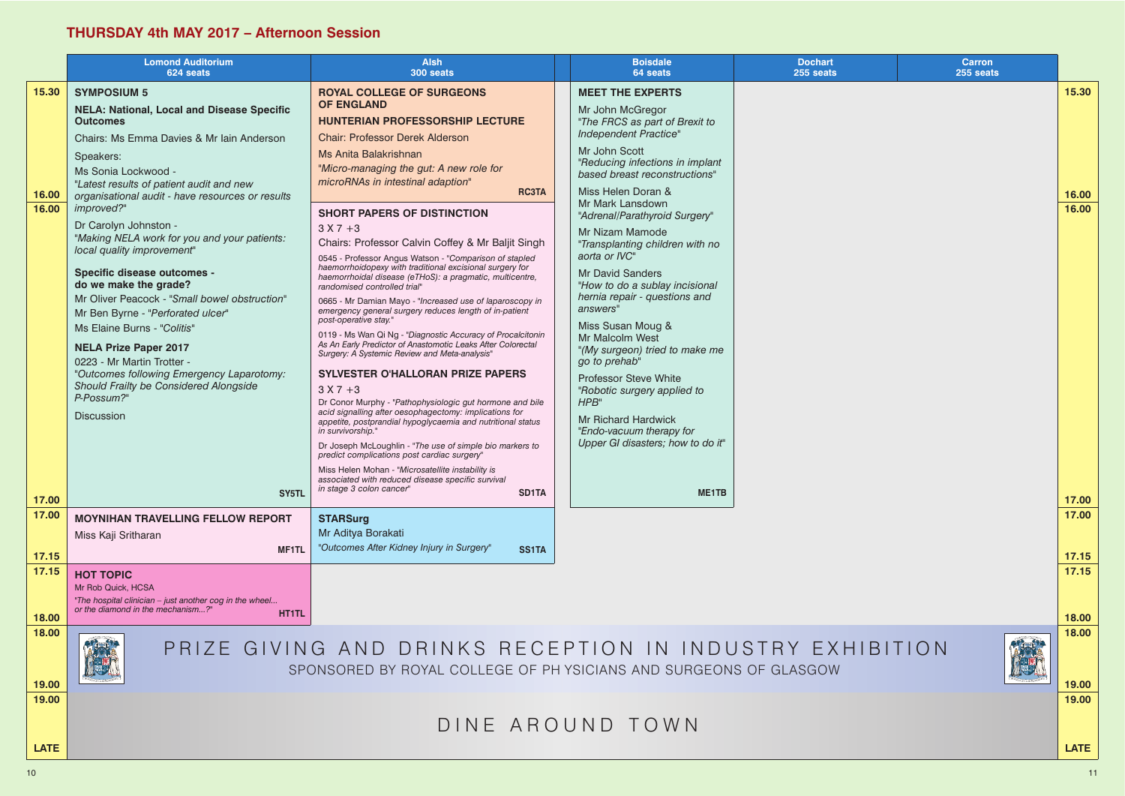### **THURSDAY 4th MAY 2017 – Afternoon Session**

|                         | <b>Lomond Auditorium</b><br>624 seats                                                                                                                                                                                                                                                                                                                                                                                                                                                                                                                                                                                                                                                                                                                                        | <b>Alsh</b><br>300 seats                                                                                                                                                                                                                                                                                                                                                                                                                                                                                                                                                                                                                                                                                                                                                                                                                                                                                                                                                                                                                                                                                                                                                                                                                                                                                                                                                                                                                    | <b>Boisdale</b><br>64 seats                                                                                                                                                                                                                                                                                                                                                                                                                                                                                                                                                                                                                                                                                              | <b>Dochart</b><br>255 seats |  |
|-------------------------|------------------------------------------------------------------------------------------------------------------------------------------------------------------------------------------------------------------------------------------------------------------------------------------------------------------------------------------------------------------------------------------------------------------------------------------------------------------------------------------------------------------------------------------------------------------------------------------------------------------------------------------------------------------------------------------------------------------------------------------------------------------------------|---------------------------------------------------------------------------------------------------------------------------------------------------------------------------------------------------------------------------------------------------------------------------------------------------------------------------------------------------------------------------------------------------------------------------------------------------------------------------------------------------------------------------------------------------------------------------------------------------------------------------------------------------------------------------------------------------------------------------------------------------------------------------------------------------------------------------------------------------------------------------------------------------------------------------------------------------------------------------------------------------------------------------------------------------------------------------------------------------------------------------------------------------------------------------------------------------------------------------------------------------------------------------------------------------------------------------------------------------------------------------------------------------------------------------------------------|--------------------------------------------------------------------------------------------------------------------------------------------------------------------------------------------------------------------------------------------------------------------------------------------------------------------------------------------------------------------------------------------------------------------------------------------------------------------------------------------------------------------------------------------------------------------------------------------------------------------------------------------------------------------------------------------------------------------------|-----------------------------|--|
| 15.30<br>16.00<br>16.00 | <b>SYMPOSIUM 5</b><br><b>NELA: National, Local and Disease Specific</b><br><b>Outcomes</b><br>Chairs: Ms Emma Davies & Mr Iain Anderson<br>Speakers:<br>Ms Sonia Lockwood -<br>"Latest results of patient audit and new<br>organisational audit - have resources or results<br>improved?"<br>Dr Carolyn Johnston -<br>"Making NELA work for you and your patients:<br>local quality improvement"<br><b>Specific disease outcomes -</b><br>do we make the grade?<br>Mr Oliver Peacock - "Small bowel obstruction"<br>Mr Ben Byrne - "Perforated ulcer"<br>Ms Elaine Burns - "Colitis"<br><b>NELA Prize Paper 2017</b><br>0223 - Mr Martin Trotter -<br>"Outcomes following Emergency Laparotomy:<br>Should Frailty be Considered Alongside<br>P-Possum?"<br><b>Discussion</b> | <b>ROYAL COLLEGE OF SURGEONS</b><br><b>OF ENGLAND</b><br><b>HUNTERIAN PROFESSORSHIP LECTURE</b><br><b>Chair: Professor Derek Alderson</b><br>Ms Anita Balakrishnan<br>"Micro-managing the gut: A new role for<br>microRNAs in intestinal adaption"<br><b>RC3TA</b><br><b>SHORT PAPERS OF DISTINCTION</b><br>$3 X 7 + 3$<br>Chairs: Professor Calvin Coffey & Mr Baljit Singh<br>0545 - Professor Angus Watson - "Comparison of stapled<br>haemorrhoidopexy with traditional excisional surgery for<br>haemorrhoidal disease (eTHoS): a pragmatic, multicentre,<br>randomised controlled trial"<br>0665 - Mr Damian Mayo - "Increased use of laparoscopy in<br>emergency general surgery reduces length of in-patient<br>post-operative stay."<br>0119 - Ms Wan Qi Ng - "Diagnostic Accuracy of Procalcitonin<br>As An Early Predictor of Anastomotic Leaks After Colorectal<br>Surgery: A Systemic Review and Meta-analysis"<br>SYLVESTER O'HALLORAN PRIZE PAPERS<br>$3 X 7 + 3$<br>Dr Conor Murphy - "Pathophysiologic gut hormone and bile<br>acid signalling after oesophagectomy: implications for<br>appetite, postprandial hypoglycaemia and nutritional status<br>in survivorship."<br>Dr Joseph McLoughlin - "The use of simple bio markers to<br>predict complications post cardiac surgery"<br>Miss Helen Mohan - "Microsatellite instability is<br>associated with reduced disease specific survival<br>in stage 3 colon cancer" | <b>MEET THE EXPERTS</b><br>Mr John McGregor<br>"The FRCS as part of Brexit to<br>Independent Practice"<br>Mr John Scott<br>"Reducing infections in implant<br>based breast reconstructions"<br>Miss Helen Doran &<br>Mr Mark Lansdown<br>"Adrenal/Parathyroid Surgery"<br>Mr Nizam Mamode<br>"Transplanting children with no<br>aorta or IVC"<br><b>Mr David Sanders</b><br>"How to do a sublay incisional<br>hernia repair - questions and<br>answers"<br>Miss Susan Moug &<br>Mr Malcolm West<br>"(My surgeon) tried to make me<br>go to prehab"<br><b>Professor Steve White</b><br>"Robotic surgery applied to<br>HPB"<br><b>Mr Richard Hardwick</b><br>"Endo-vacuum therapy for<br>Upper GI disasters; how to do it" |                             |  |
| 17.00<br>17.00          | SY5TL<br><b>MOYNIHAN TRAVELLING FELLOW REPORT</b><br>Miss Kaji Sritharan                                                                                                                                                                                                                                                                                                                                                                                                                                                                                                                                                                                                                                                                                                     | SD1TA<br><b>STARSurg</b><br>Mr Aditya Borakati                                                                                                                                                                                                                                                                                                                                                                                                                                                                                                                                                                                                                                                                                                                                                                                                                                                                                                                                                                                                                                                                                                                                                                                                                                                                                                                                                                                              | ME1TB                                                                                                                                                                                                                                                                                                                                                                                                                                                                                                                                                                                                                                                                                                                    |                             |  |
| 17.15                   | MF1TL                                                                                                                                                                                                                                                                                                                                                                                                                                                                                                                                                                                                                                                                                                                                                                        | "Outcomes After Kidney Injury in Surgery"<br><b>SS1TA</b>                                                                                                                                                                                                                                                                                                                                                                                                                                                                                                                                                                                                                                                                                                                                                                                                                                                                                                                                                                                                                                                                                                                                                                                                                                                                                                                                                                                   |                                                                                                                                                                                                                                                                                                                                                                                                                                                                                                                                                                                                                                                                                                                          |                             |  |
| 17.15<br>18.00          | <b>HOT TOPIC</b><br>Mr Rob Quick, HCSA<br>"The hospital clinician - just another cog in the wheel<br>or the diamond in the mechanism?"<br><b>HT1TL</b>                                                                                                                                                                                                                                                                                                                                                                                                                                                                                                                                                                                                                       |                                                                                                                                                                                                                                                                                                                                                                                                                                                                                                                                                                                                                                                                                                                                                                                                                                                                                                                                                                                                                                                                                                                                                                                                                                                                                                                                                                                                                                             |                                                                                                                                                                                                                                                                                                                                                                                                                                                                                                                                                                                                                                                                                                                          |                             |  |
| 18.00<br>19.00          |                                                                                                                                                                                                                                                                                                                                                                                                                                                                                                                                                                                                                                                                                                                                                                              | PRIZE GIVING AND DRINKS RECEPTION IN INDUSTRY EXHIBITION<br>SPONSORED BY ROYAL COLLEGE OF PH YSICIANS AND SURGEONS OF GLASGOW                                                                                                                                                                                                                                                                                                                                                                                                                                                                                                                                                                                                                                                                                                                                                                                                                                                                                                                                                                                                                                                                                                                                                                                                                                                                                                               |                                                                                                                                                                                                                                                                                                                                                                                                                                                                                                                                                                                                                                                                                                                          |                             |  |
| 19.00<br><b>LATE</b>    |                                                                                                                                                                                                                                                                                                                                                                                                                                                                                                                                                                                                                                                                                                                                                                              |                                                                                                                                                                                                                                                                                                                                                                                                                                                                                                                                                                                                                                                                                                                                                                                                                                                                                                                                                                                                                                                                                                                                                                                                                                                                                                                                                                                                                                             | DINE AROUND TOWN                                                                                                                                                                                                                                                                                                                                                                                                                                                                                                                                                                                                                                                                                                         |                             |  |

|                | <b>Carron</b> |                |  |
|----------------|---------------|----------------|--|
|                | 255 seats     |                |  |
|                |               | 15.30          |  |
|                |               | 16.00          |  |
|                |               | 16.00          |  |
|                |               | 17.00<br>17.00 |  |
|                |               | 17.15          |  |
|                |               | 17.15          |  |
|                |               |                |  |
|                |               | 18.00          |  |
| <b>IBITION</b> |               | 18.00<br>19.00 |  |
|                |               | 19.00          |  |
|                |               | <b>LATE</b>    |  |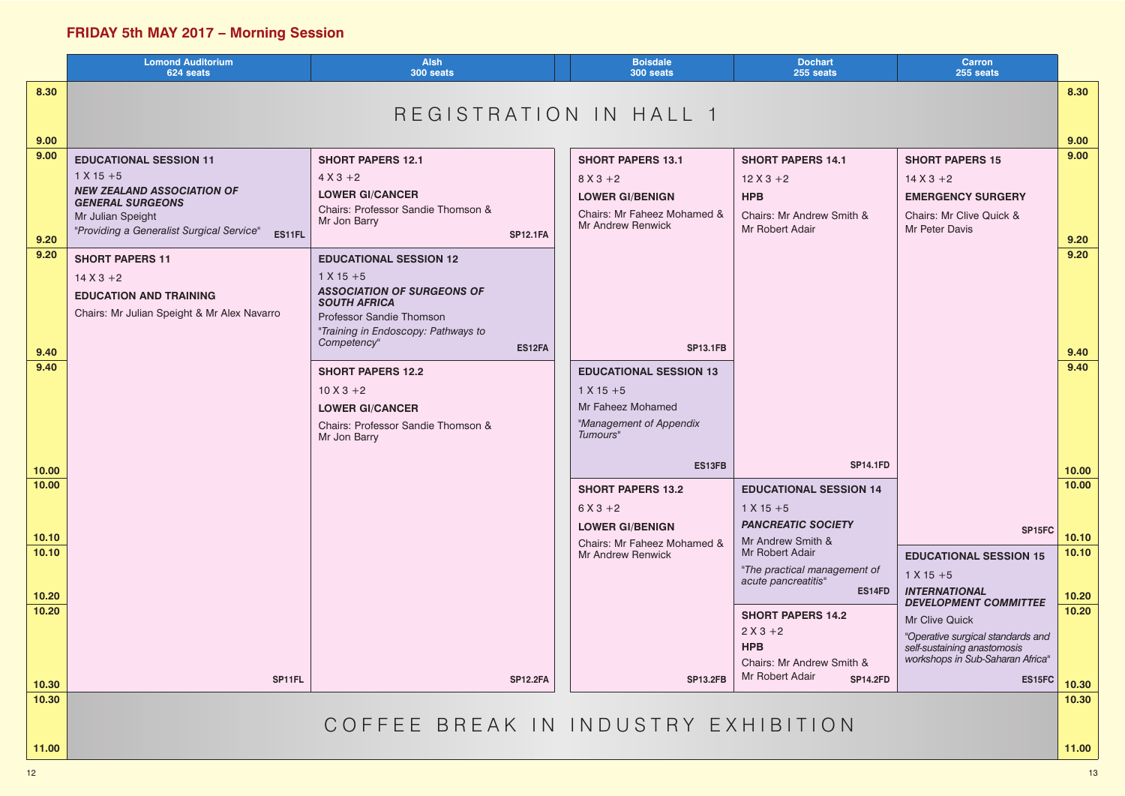# **FRIDAY 5th MAY 2017 – Morning Session**

|       | <b>Lomond Auditorium</b><br>624 seats                                        | <b>Alsh</b><br>300 seats                                        | <b>Boisdale</b><br>300 seats                            | <b>Dochart</b><br>255 seats                         | <b>Carron</b><br>255 seats                                      |       |
|-------|------------------------------------------------------------------------------|-----------------------------------------------------------------|---------------------------------------------------------|-----------------------------------------------------|-----------------------------------------------------------------|-------|
| 8.30  |                                                                              |                                                                 |                                                         |                                                     |                                                                 | 8.30  |
|       |                                                                              | REGISTRATION IN HALL 1                                          |                                                         |                                                     |                                                                 |       |
| 9.00  |                                                                              |                                                                 |                                                         |                                                     |                                                                 | 9.00  |
| 9.00  | <b>EDUCATIONAL SESSION 11</b>                                                | <b>SHORT PAPERS 12.1</b>                                        | <b>SHORT PAPERS 13.1</b>                                | <b>SHORT PAPERS 14.1</b>                            | <b>SHORT PAPERS 15</b>                                          | 9.00  |
|       | $1 X 15 + 5$<br><b>NEW ZEALAND ASSOCIATION OF</b>                            | $4 X 3 + 2$                                                     | $8 X 3 + 2$                                             | $12X3+2$                                            | $14 X 3 + 2$                                                    |       |
|       | <b>GENERAL SURGEONS</b>                                                      | <b>LOWER GI/CANCER</b><br>Chairs: Professor Sandie Thomson &    | <b>LOWER GI/BENIGN</b>                                  | <b>HPB</b>                                          | <b>EMERGENCY SURGERY</b>                                        |       |
|       | Mr Julian Speight<br>"Providing a Generalist Surgical Service"               | Mr Jon Barry                                                    | Chairs: Mr Faheez Mohamed &<br><b>Mr Andrew Renwick</b> | Chairs: Mr Andrew Smith &<br>Mr Robert Adair        | Chairs: Mr Clive Quick &<br>Mr Peter Davis                      |       |
| 9.20  | ES11FL                                                                       | <b>SP12.1FA</b>                                                 |                                                         |                                                     |                                                                 | 9.20  |
| 9.20  | <b>SHORT PAPERS 11</b>                                                       | <b>EDUCATIONAL SESSION 12</b>                                   |                                                         |                                                     |                                                                 | 9.20  |
|       | $14 X 3 + 2$                                                                 | $1 X 15 + 5$<br><b>ASSOCIATION OF SURGEONS OF</b>               |                                                         |                                                     |                                                                 |       |
|       | <b>EDUCATION AND TRAINING</b><br>Chairs: Mr Julian Speight & Mr Alex Navarro | <b>SOUTH AFRICA</b>                                             |                                                         |                                                     |                                                                 |       |
|       |                                                                              | Professor Sandie Thomson<br>"Training in Endoscopy: Pathways to |                                                         |                                                     |                                                                 |       |
| 9.40  |                                                                              | Competency"<br>ES12FA                                           | <b>SP13.1FB</b>                                         |                                                     |                                                                 | 9.40  |
| 9.40  |                                                                              | <b>SHORT PAPERS 12.2</b>                                        | <b>EDUCATIONAL SESSION 13</b>                           |                                                     |                                                                 | 9.40  |
|       |                                                                              | $10 X 3 + 2$                                                    | $1 X 15 + 5$                                            |                                                     |                                                                 |       |
|       |                                                                              | <b>LOWER GI/CANCER</b>                                          | Mr Faheez Mohamed                                       |                                                     |                                                                 |       |
|       |                                                                              | Chairs: Professor Sandie Thomson &<br>Mr Jon Barry              | "Management of Appendix<br>Tumours"                     |                                                     |                                                                 |       |
|       |                                                                              |                                                                 |                                                         |                                                     |                                                                 |       |
| 10.00 |                                                                              |                                                                 | ES13FB                                                  | <b>SP14.1FD</b>                                     |                                                                 | 10.00 |
| 10.00 |                                                                              |                                                                 | <b>SHORT PAPERS 13.2</b>                                | <b>EDUCATIONAL SESSION 14</b>                       |                                                                 | 10.00 |
|       |                                                                              |                                                                 | $6X3+2$                                                 | $1 X 15 + 5$                                        |                                                                 |       |
| 10.10 |                                                                              |                                                                 | <b>LOWER GI/BENIGN</b><br>Chairs: Mr Faheez Mohamed &   | <b>PANCREATIC SOCIETY</b><br>Mr Andrew Smith &      | SP15FC                                                          | 10.10 |
| 10.10 |                                                                              |                                                                 | <b>Mr Andrew Renwick</b>                                | Mr Robert Adair                                     | <b>EDUCATIONAL SESSION 15</b>                                   | 10.10 |
|       |                                                                              |                                                                 |                                                         | "The practical management of<br>acute pancreatitis" | $1 X 15 + 5$                                                    |       |
| 10.20 |                                                                              |                                                                 |                                                         | ES14FD                                              | <b>INTERNATIONAL</b><br><b>DEVELOPMENT COMMITTEE</b>            | 10.20 |
| 10.20 |                                                                              |                                                                 |                                                         | <b>SHORT PAPERS 14.2</b>                            | Mr Clive Quick                                                  | 10.20 |
|       |                                                                              |                                                                 |                                                         | $2 X 3 + 2$<br><b>HPB</b>                           | "Operative surgical standards and                               |       |
|       |                                                                              |                                                                 |                                                         | Chairs: Mr Andrew Smith &                           | self-sustaining anastomosis<br>workshops in Sub-Saharan Africa" |       |
| 10.30 | SP11FL                                                                       | <b>SP12.2FA</b>                                                 | <b>SP13.2FB</b>                                         | Mr Robert Adair<br><b>SP14.2FD</b>                  | ES15FC                                                          | 10.30 |
| 10.30 |                                                                              |                                                                 |                                                         |                                                     |                                                                 | 10.30 |
|       |                                                                              | COFFEE BREAK IN INDUSTRY EXHIBITION                             |                                                         |                                                     |                                                                 |       |
| 11.00 |                                                                              |                                                                 |                                                         |                                                     |                                                                 | 11.00 |